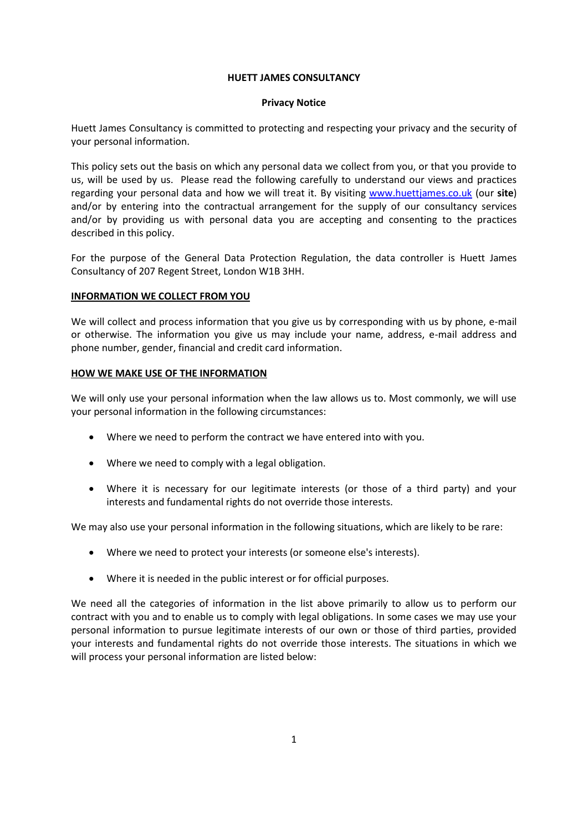### **HUETT JAMES CONSULTANCY**

### **Privacy Notice**

Huett James Consultancy is committed to protecting and respecting your privacy and the security of your personal information.

This policy sets out the basis on which any personal data we collect from you, or that you provide to us, will be used by us. Please read the following carefully to understand our views and practices regarding your personal data and how we will treat it. By visiting [www.huettjames.co.uk](http://www.huettjames.co.uk/) (our **site**) and/or by entering into the contractual arrangement for the supply of our consultancy services and/or by providing us with personal data you are accepting and consenting to the practices described in this policy.

For the purpose of the General Data Protection Regulation, the data controller is Huett James Consultancy of 207 Regent Street, London W1B 3HH.

## **INFORMATION WE COLLECT FROM YOU**

We will collect and process information that you give us by corresponding with us by phone, e-mail or otherwise. The information you give us may include your name, address, e-mail address and phone number, gender, financial and credit card information.

## **HOW WE MAKE USE OF THE INFORMATION**

We will only use your personal information when the law allows us to. Most commonly, we will use your personal information in the following circumstances:

- Where we need to perform the contract we have entered into with you.
- Where we need to comply with a legal obligation.
- Where it is necessary for our legitimate interests (or those of a third party) and your interests and fundamental rights do not override those interests.

We may also use your personal information in the following situations, which are likely to be rare:

- Where we need to protect your interests (or someone else's interests).
- Where it is needed in the public interest or for official purposes.

We need all the categories of information in the list above primarily to allow us to perform our contract with you and to enable us to comply with legal obligations. In some cases we may use your personal information to pursue legitimate interests of our own or those of third parties, provided your interests and fundamental rights do not override those interests. The situations in which we will process your personal information are listed below: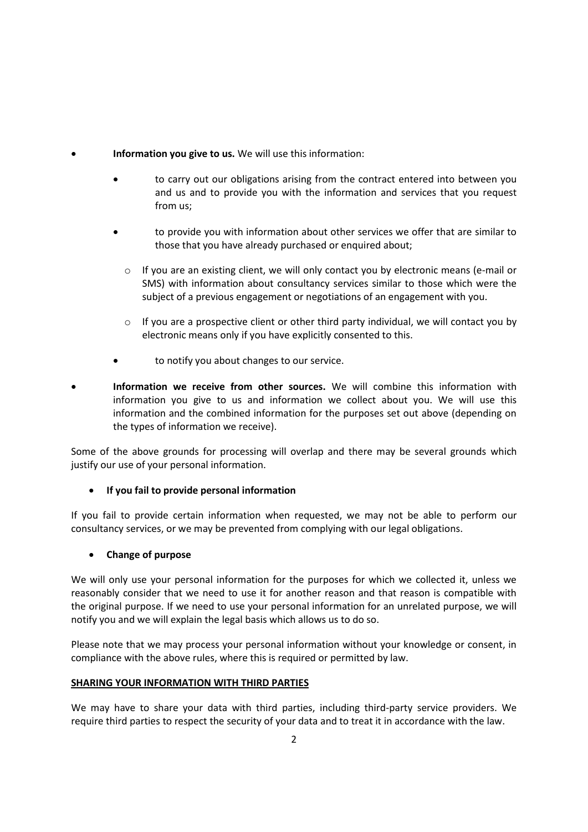- **Information you give to us.** We will use this information:
	- to carry out our obligations arising from the contract entered into between you and us and to provide you with the information and services that you request from us;
	- to provide you with information about other services we offer that are similar to those that you have already purchased or enquired about;
		- $\circ$  If you are an existing client, we will only contact you by electronic means (e-mail or SMS) with information about consultancy services similar to those which were the subject of a previous engagement or negotiations of an engagement with you.
		- $\circ$  If you are a prospective client or other third party individual, we will contact you by electronic means only if you have explicitly consented to this.
	- to notify you about changes to our service.
- **Information we receive from other sources.** We will combine this information with information you give to us and information we collect about you. We will use this information and the combined information for the purposes set out above (depending on the types of information we receive).

Some of the above grounds for processing will overlap and there may be several grounds which justify our use of your personal information.

# **If you fail to provide personal information**

If you fail to provide certain information when requested, we may not be able to perform our consultancy services, or we may be prevented from complying with our legal obligations.

# **Change of purpose**

We will only use your personal information for the purposes for which we collected it, unless we reasonably consider that we need to use it for another reason and that reason is compatible with the original purpose. If we need to use your personal information for an unrelated purpose, we will notify you and we will explain the legal basis which allows us to do so.

Please note that we may process your personal information without your knowledge or consent, in compliance with the above rules, where this is required or permitted by law.

# **SHARING YOUR INFORMATION WITH THIRD PARTIES**

We may have to share your data with third parties, including third-party service providers. We require third parties to respect the security of your data and to treat it in accordance with the law.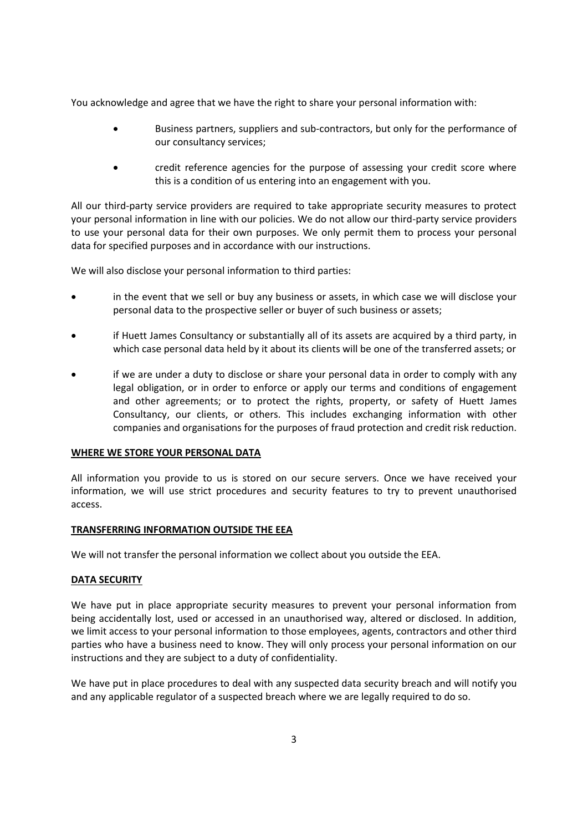You acknowledge and agree that we have the right to share your personal information with:

- Business partners, suppliers and sub-contractors, but only for the performance of our consultancy services;
- credit reference agencies for the purpose of assessing your credit score where this is a condition of us entering into an engagement with you.

All our third-party service providers are required to take appropriate security measures to protect your personal information in line with our policies. We do not allow our third-party service providers to use your personal data for their own purposes. We only permit them to process your personal data for specified purposes and in accordance with our instructions.

We will also disclose your personal information to third parties:

- in the event that we sell or buy any business or assets, in which case we will disclose your personal data to the prospective seller or buyer of such business or assets;
- if Huett James Consultancy or substantially all of its assets are acquired by a third party, in which case personal data held by it about its clients will be one of the transferred assets; or
- if we are under a duty to disclose or share your personal data in order to comply with any legal obligation, or in order to enforce or apply our terms and conditions of engagement and other agreements; or to protect the rights, property, or safety of Huett James Consultancy, our clients, or others. This includes exchanging information with other companies and organisations for the purposes of fraud protection and credit risk reduction.

### **WHERE WE STORE YOUR PERSONAL DATA**

All information you provide to us is stored on our secure servers. Once we have received your information, we will use strict procedures and security features to try to prevent unauthorised access.

### **TRANSFERRING INFORMATION OUTSIDE THE EEA**

We will not transfer the personal information we collect about you outside the EEA.

### **DATA SECURITY**

We have put in place appropriate security measures to prevent your personal information from being accidentally lost, used or accessed in an unauthorised way, altered or disclosed. In addition, we limit access to your personal information to those employees, agents, contractors and other third parties who have a business need to know. They will only process your personal information on our instructions and they are subject to a duty of confidentiality.

We have put in place procedures to deal with any suspected data security breach and will notify you and any applicable regulator of a suspected breach where we are legally required to do so.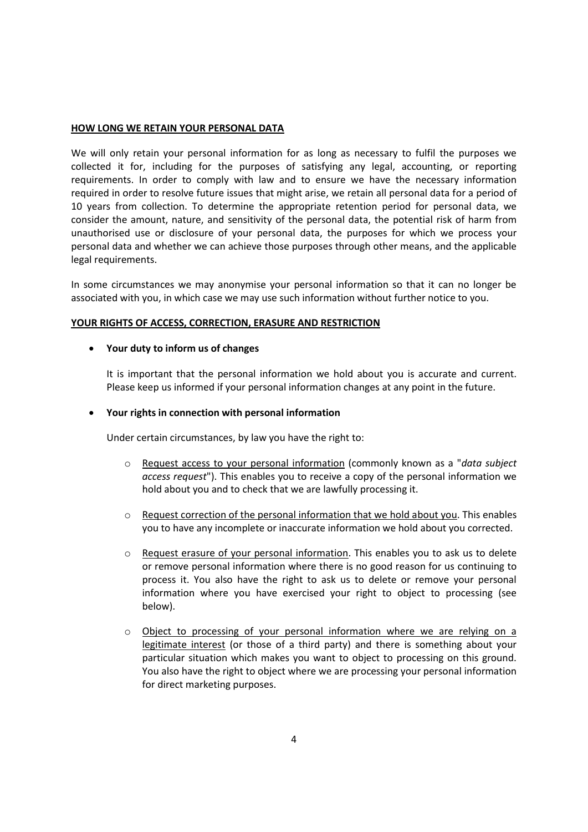## **HOW LONG WE RETAIN YOUR PERSONAL DATA**

We will only retain your personal information for as long as necessary to fulfil the purposes we collected it for, including for the purposes of satisfying any legal, accounting, or reporting requirements. In order to comply with law and to ensure we have the necessary information required in order to resolve future issues that might arise, we retain all personal data for a period of 10 years from collection. To determine the appropriate retention period for personal data, we consider the amount, nature, and sensitivity of the personal data, the potential risk of harm from unauthorised use or disclosure of your personal data, the purposes for which we process your personal data and whether we can achieve those purposes through other means, and the applicable legal requirements.

In some circumstances we may anonymise your personal information so that it can no longer be associated with you, in which case we may use such information without further notice to you.

# **YOUR RIGHTS OF ACCESS, CORRECTION, ERASURE AND RESTRICTION**

## **Your duty to inform us of changes**

It is important that the personal information we hold about you is accurate and current. Please keep us informed if your personal information changes at any point in the future.

## **Your rights in connection with personal information**

Under certain circumstances, by law you have the right to:

- o Request access to your personal information (commonly known as a "*data subject access request*"). This enables you to receive a copy of the personal information we hold about you and to check that we are lawfully processing it.
- $\circ$  Request correction of the personal information that we hold about you. This enables you to have any incomplete or inaccurate information we hold about you corrected.
- o Request erasure of your personal information. This enables you to ask us to delete or remove personal information where there is no good reason for us continuing to process it. You also have the right to ask us to delete or remove your personal information where you have exercised your right to object to processing (see below).
- o Object to processing of your personal information where we are relying on a legitimate interest (or those of a third party) and there is something about your particular situation which makes you want to object to processing on this ground. You also have the right to object where we are processing your personal information for direct marketing purposes.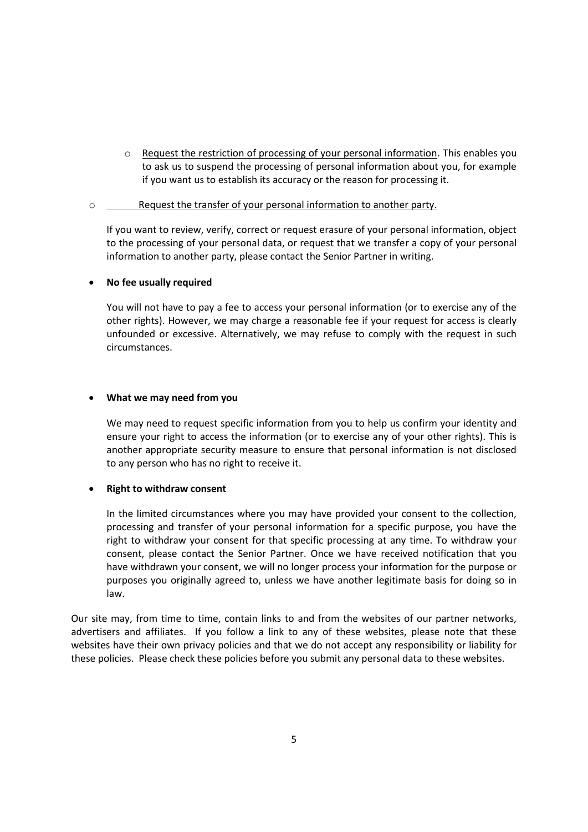o Request the restriction of processing of your personal information. This enables you to ask us to suspend the processing of personal information about you, for example if you want us to establish its accuracy or the reason for processing it.

## o Request the transfer of your personal information to another party.

If you want to review, verify, correct or request erasure of your personal information, object to the processing of your personal data, or request that we transfer a copy of your personal information to another party, please contact the Senior Partner in writing.

## **No fee usually required**

You will not have to pay a fee to access your personal information (or to exercise any of the other rights). However, we may charge a reasonable fee if your request for access is clearly unfounded or excessive. Alternatively, we may refuse to comply with the request in such circumstances.

## **What we may need from you**

We may need to request specific information from you to help us confirm your identity and ensure your right to access the information (or to exercise any of your other rights). This is another appropriate security measure to ensure that personal information is not disclosed to any person who has no right to receive it.

# **Right to withdraw consent**

In the limited circumstances where you may have provided your consent to the collection, processing and transfer of your personal information for a specific purpose, you have the right to withdraw your consent for that specific processing at any time. To withdraw your consent, please contact the Senior Partner. Once we have received notification that you have withdrawn your consent, we will no longer process your information for the purpose or purposes you originally agreed to, unless we have another legitimate basis for doing so in law.

Our site may, from time to time, contain links to and from the websites of our partner networks, advertisers and affiliates. If you follow a link to any of these websites, please note that these websites have their own privacy policies and that we do not accept any responsibility or liability for these policies. Please check these policies before you submit any personal data to these websites.